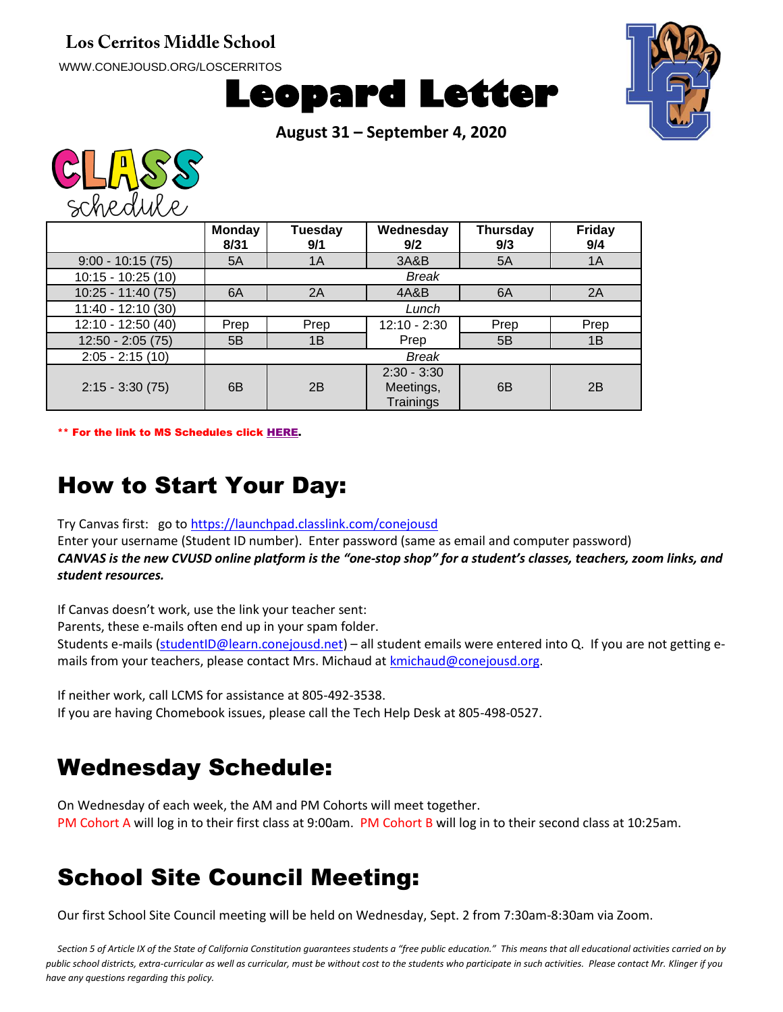#### **Los Cerritos Middle School**

WWW.CONEJOUSD.ORG/LOSCERRITOS





**August 31 – September 4, 2020**



|                     | <b>Monday</b><br>8/31 | Tuesday<br>9/1 | Wednesday<br>9/2                        | <b>Thursday</b><br>9/3 | Friday<br>9/4 |
|---------------------|-----------------------|----------------|-----------------------------------------|------------------------|---------------|
| $9:00 - 10:15(75)$  | 5A                    | 1A             | 3A&B                                    | 5A                     | 1A            |
| $10:15 - 10:25(10)$ |                       |                | <b>Break</b>                            |                        |               |
| $10:25 - 11:40(75)$ | 6A                    | 2A             | 4A&B                                    | 6A                     | 2A            |
| 11:40 - 12:10 (30)  |                       |                | Lunch                                   |                        |               |
| 12:10 - 12:50 (40)  | Prep                  | Prep           | $12:10 - 2:30$                          | Prep                   | Prep          |
| $12:50 - 2:05(75)$  | 5B                    | 1B             | Prep                                    | 5B                     | 1B            |
| $2:05 - 2:15(10)$   |                       |                | <b>Break</b>                            |                        |               |
| $2:15 - 3:30(75)$   | 6 <sub>B</sub>        | 2B             | $2:30 - 3:30$<br>Meetings,<br>Trainings | 6B                     | 2B            |

\*\* For the link to MS Schedules click [HERE.](https://www.conejousd.org/Portals/41/2020-2021/Middle%20School%20Remote%20Calendar_fnl.pdf?ver=2020-08-25-121556-487)

#### How to Start Your Day:

Try Canvas first: go to<https://launchpad.classlink.com/conejousd>

Enter your username (Student ID number). Enter password (same as email and computer password) *CANVAS is the new CVUSD online platform is the "one-stop shop" for a student's classes, teachers, zoom links, and student resources.*

If Canvas doesn't work, use the link your teacher sent:

Parents, these e-mails often end up in your spam folder.

Students e-mails [\(studentID@learn.conejousd.net\)](mailto:studentID@learn.conejousd.net) – all student emails were entered into Q. If you are not getting emails from your teachers, please contact Mrs. Michaud at [kmichaud@conejousd.org.](mailto:kmichaud@conejousd.org)

If neither work, call LCMS for assistance at 805-492-3538.

If you are having Chomebook issues, please call the Tech Help Desk at 805-498-0527.

#### Wednesday Schedule:

On Wednesday of each week, the AM and PM Cohorts will meet together. PM Cohort A will log in to their first class at 9:00am. PM Cohort B will log in to their second class at 10:25am.

#### School Site Council Meeting:

Our first School Site Council meeting will be held on Wednesday, Sept. 2 from 7:30am-8:30am via Zoom.

*Section 5 of Article IX of the State of California Constitution guarantees students a "free public education." This means that all educational activities carried on by public school districts, extra-curricular as well as curricular, must be without cost to the students who participate in such activities. Please contact Mr. Klinger if you have any questions regarding this policy.*